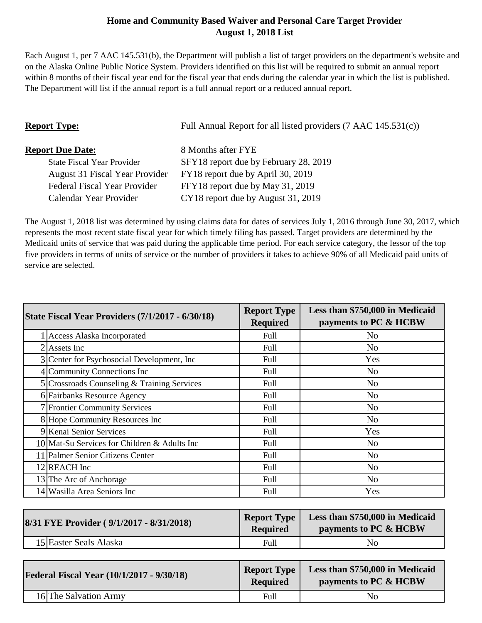## **Home and Community Based Waiver and Personal Care Target Provider August 1, 2018 List**

Each August 1, per 7 AAC 145.531(b), the Department will publish a list of target providers on the department's website and on the Alaska Online Public Notice System. Providers identified on this list will be required to submit an annual report within 8 months of their fiscal year end for the fiscal year that ends during the calendar year in which the list is published. The Department will list if the annual report is a full annual report or a reduced annual report.

| <b>Report Type:</b>                   | Full Annual Report for all listed providers (7 AAC 145.531(c)) |  |
|---------------------------------------|----------------------------------------------------------------|--|
| <b>Report Due Date:</b>               | 8 Months after FYE                                             |  |
| <b>State Fiscal Year Provider</b>     | SFY18 report due by February 28, 2019                          |  |
| <b>August 31 Fiscal Year Provider</b> | FY18 report due by April 30, 2019                              |  |
| Federal Fiscal Year Provider          | FFY18 report due by May 31, 2019                               |  |
| Calendar Year Provider                | CY18 report due by August 31, 2019                             |  |

The August 1, 2018 list was determined by using claims data for dates of services July 1, 2016 through June 30, 2017, which represents the most recent state fiscal year for which timely filing has passed. Target providers are determined by the Medicaid units of service that was paid during the applicable time period. For each service category, the lessor of the top five providers in terms of units of service or the number of providers it takes to achieve 90% of all Medicaid paid units of service are selected.

| <b>State Fiscal Year Providers (7/1/2017 - 6/30/18)</b> | <b>Report Type</b><br><b>Required</b> | Less than \$750,000 in Medicaid<br>payments to PC & HCBW |
|---------------------------------------------------------|---------------------------------------|----------------------------------------------------------|
| <b>Access Alaska Incorporated</b>                       | Full                                  | N <sub>0</sub>                                           |
| $2$ Assets Inc                                          | Full                                  | No                                                       |
| 3 Center for Psychosocial Development, Inc.             | Full                                  | Yes                                                      |
| 4 Community Connections Inc                             | Full                                  | No.                                                      |
| 5 Crossroads Counseling & Training Services             | Full                                  | N <sub>o</sub>                                           |
| 6 Fairbanks Resource Agency                             | Full                                  | N <sub>0</sub>                                           |
| <b>7</b> Frontier Community Services                    | Full                                  | N <sub>o</sub>                                           |
| 8 Hope Community Resources Inc                          | Full                                  | No.                                                      |
| 9 Kenai Senior Services                                 | Full                                  | Yes                                                      |
| 10 Mat-Su Services for Children & Adults Inc            | Full                                  | N <sub>o</sub>                                           |
| 11 Palmer Senior Citizens Center                        | Full                                  | N <sub>o</sub>                                           |
| 12 REACH Inc                                            | Full                                  | No.                                                      |
| 13 The Arc of Anchorage                                 | Full                                  | N <sub>0</sub>                                           |
| 14 Wasilla Area Seniors Inc                             | Full                                  | Yes                                                      |

| 8/31 FYE Provider (9/1/2017 - 8/31/2018) | <b>Report Type</b><br><b>Required</b> | Less than \$750,000 in Medicaid<br>payments to PC & HCBW |
|------------------------------------------|---------------------------------------|----------------------------------------------------------|
| 15 Easter Seals Alaska                   | Full                                  | No                                                       |
|                                          |                                       |                                                          |

| <b>Federal Fiscal Year (10/1/2017 - 9/30/18)</b> | <b>Report Type</b><br><b>Required</b> | Less than \$750,000 in Medicaid<br>payments to PC & HCBW |
|--------------------------------------------------|---------------------------------------|----------------------------------------------------------|
| 16 The Salvation Army                            | Full                                  | No                                                       |